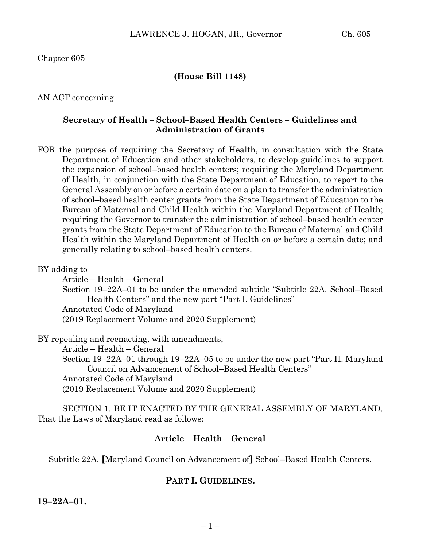### **(House Bill 1148)**

AN ACT concerning

### **Secretary of Health – School–Based Health Centers – Guidelines and Administration of Grants**

FOR the purpose of requiring the Secretary of Health, in consultation with the State Department of Education and other stakeholders, to develop guidelines to support the expansion of school–based health centers; requiring the Maryland Department of Health, in conjunction with the State Department of Education, to report to the General Assembly on or before a certain date on a plan to transfer the administration of school–based health center grants from the State Department of Education to the Bureau of Maternal and Child Health within the Maryland Department of Health; requiring the Governor to transfer the administration of school–based health center grants from the State Department of Education to the Bureau of Maternal and Child Health within the Maryland Department of Health on or before a certain date; and generally relating to school–based health centers.

#### BY adding to

Article – Health – General Section 19–22A–01 to be under the amended subtitle "Subtitle 22A. School–Based Health Centers" and the new part "Part I. Guidelines"

Annotated Code of Maryland

(2019 Replacement Volume and 2020 Supplement)

BY repealing and reenacting, with amendments,

Article – Health – General Section 19–22A–01 through 19–22A–05 to be under the new part "Part II. Maryland Council on Advancement of School–Based Health Centers" Annotated Code of Maryland (2019 Replacement Volume and 2020 Supplement)

SECTION 1. BE IT ENACTED BY THE GENERAL ASSEMBLY OF MARYLAND, That the Laws of Maryland read as follows:

# **Article – Health – General**

Subtitle 22A. **[**Maryland Council on Advancement of**]** School–Based Health Centers.

### **PART I. GUIDELINES.**

**19–22A–01.**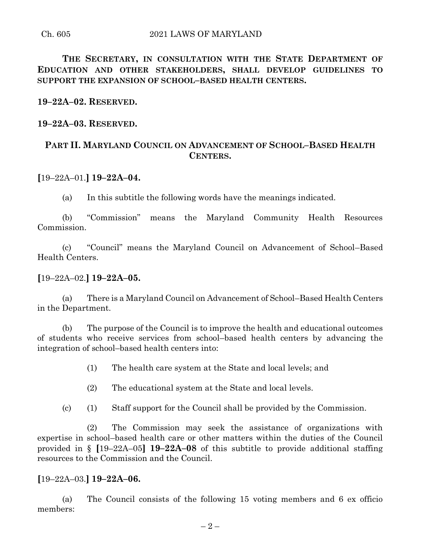**THE SECRETARY, IN CONSULTATION WITH THE STATE DEPARTMENT OF EDUCATION AND OTHER STAKEHOLDERS, SHALL DEVELOP GUIDELINES TO SUPPORT THE EXPANSION OF SCHOOL–BASED HEALTH CENTERS.**

**19–22A–02. RESERVED.**

**19–22A–03. RESERVED.**

# **PART II. MARYLAND COUNCIL ON ADVANCEMENT OF SCHOOL–BASED HEALTH CENTERS.**

# **[**19–22A–01.**] 19–22A–04.**

(a) In this subtitle the following words have the meanings indicated.

(b) "Commission" means the Maryland Community Health Resources Commission.

(c) "Council" means the Maryland Council on Advancement of School–Based Health Centers.

## **[**19–22A–02.**] 19–22A–05.**

(a) There is a Maryland Council on Advancement of School–Based Health Centers in the Department.

(b) The purpose of the Council is to improve the health and educational outcomes of students who receive services from school–based health centers by advancing the integration of school–based health centers into:

(1) The health care system at the State and local levels; and

(2) The educational system at the State and local levels.

(c) (1) Staff support for the Council shall be provided by the Commission.

(2) The Commission may seek the assistance of organizations with expertise in school–based health care or other matters within the duties of the Council provided in § **[**19–22A–05**] 19–22A–08** of this subtitle to provide additional staffing resources to the Commission and the Council.

### **[**19–22A–03.**] 19–22A–06.**

(a) The Council consists of the following 15 voting members and 6 ex officio members: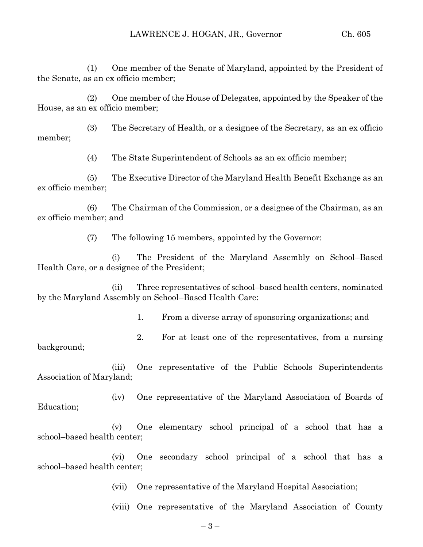(1) One member of the Senate of Maryland, appointed by the President of the Senate, as an ex officio member;

(2) One member of the House of Delegates, appointed by the Speaker of the House, as an ex officio member;

(3) The Secretary of Health, or a designee of the Secretary, as an ex officio member;

(4) The State Superintendent of Schools as an ex officio member;

(5) The Executive Director of the Maryland Health Benefit Exchange as an ex officio member;

(6) The Chairman of the Commission, or a designee of the Chairman, as an ex officio member; and

(7) The following 15 members, appointed by the Governor:

(i) The President of the Maryland Assembly on School–Based Health Care, or a designee of the President;

(ii) Three representatives of school–based health centers, nominated by the Maryland Assembly on School–Based Health Care:

1. From a diverse array of sponsoring organizations; and

2. For at least one of the representatives, from a nursing background;

(iii) One representative of the Public Schools Superintendents Association of Maryland;

(iv) One representative of the Maryland Association of Boards of Education;

(v) One elementary school principal of a school that has a school–based health center;

(vi) One secondary school principal of a school that has a school–based health center;

(vii) One representative of the Maryland Hospital Association;

(viii) One representative of the Maryland Association of County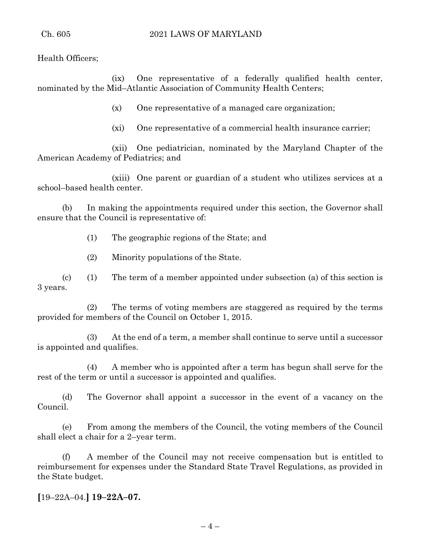Health Officers;

(ix) One representative of a federally qualified health center, nominated by the Mid–Atlantic Association of Community Health Centers;

(x) One representative of a managed care organization;

(xi) One representative of a commercial health insurance carrier;

(xii) One pediatrician, nominated by the Maryland Chapter of the American Academy of Pediatrics; and

(xiii) One parent or guardian of a student who utilizes services at a school–based health center.

(b) In making the appointments required under this section, the Governor shall ensure that the Council is representative of:

(1) The geographic regions of the State; and

(2) Minority populations of the State.

(c) (1) The term of a member appointed under subsection (a) of this section is 3 years.

(2) The terms of voting members are staggered as required by the terms provided for members of the Council on October 1, 2015.

(3) At the end of a term, a member shall continue to serve until a successor is appointed and qualifies.

(4) A member who is appointed after a term has begun shall serve for the rest of the term or until a successor is appointed and qualifies.

(d) The Governor shall appoint a successor in the event of a vacancy on the Council.

(e) From among the members of the Council, the voting members of the Council shall elect a chair for a 2–year term.

(f) A member of the Council may not receive compensation but is entitled to reimbursement for expenses under the Standard State Travel Regulations, as provided in the State budget.

**[**19–22A–04.**] 19–22A–07.**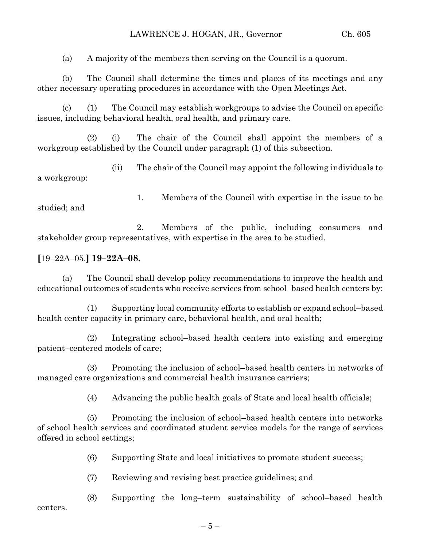(a) A majority of the members then serving on the Council is a quorum.

(b) The Council shall determine the times and places of its meetings and any other necessary operating procedures in accordance with the Open Meetings Act.

(c) (1) The Council may establish workgroups to advise the Council on specific issues, including behavioral health, oral health, and primary care.

(2) (i) The chair of the Council shall appoint the members of a workgroup established by the Council under paragraph (1) of this subsection.

(ii) The chair of the Council may appoint the following individuals to a workgroup:

1. Members of the Council with expertise in the issue to be studied; and

2. Members of the public, including consumers and stakeholder group representatives, with expertise in the area to be studied.

# **[**19–22A–05.**] 19–22A–08.**

(a) The Council shall develop policy recommendations to improve the health and educational outcomes of students who receive services from school–based health centers by:

(1) Supporting local community efforts to establish or expand school–based health center capacity in primary care, behavioral health, and oral health;

(2) Integrating school–based health centers into existing and emerging patient–centered models of care;

(3) Promoting the inclusion of school–based health centers in networks of managed care organizations and commercial health insurance carriers;

(4) Advancing the public health goals of State and local health officials;

(5) Promoting the inclusion of school–based health centers into networks of school health services and coordinated student service models for the range of services offered in school settings;

- (6) Supporting State and local initiatives to promote student success;
- (7) Reviewing and revising best practice guidelines; and

(8) Supporting the long–term sustainability of school–based health centers.